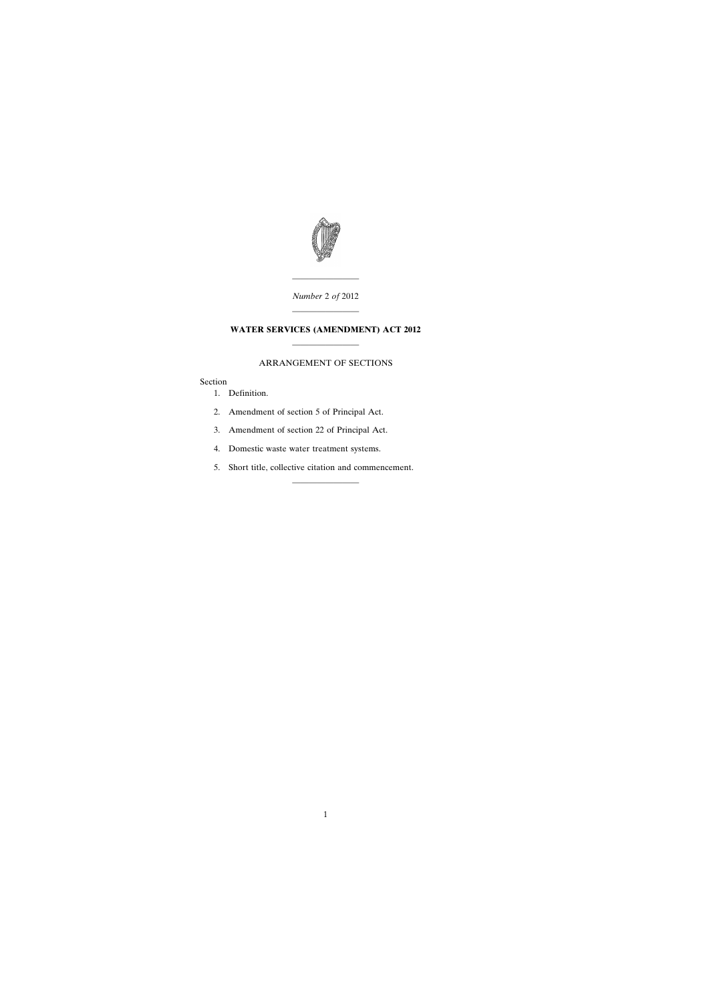

———————— *Number* 2 *of* 2012

————————

# **WATER SERVICES (AMENDMENT) ACT 2012** ————————

## ARRANGEMENT OF SECTIONS

### Section

- [1. Definition.](#page-2-0)
- [2. Amendment of section 5 of Principal Act.](#page-2-0)
- [3. Amendment of section 22 of Principal Act.](#page-2-0)
- [4. Domestic waste water treatment systems.](#page-2-0)
- [5. Short title, collective citation and commencement.](#page-18-0)

————————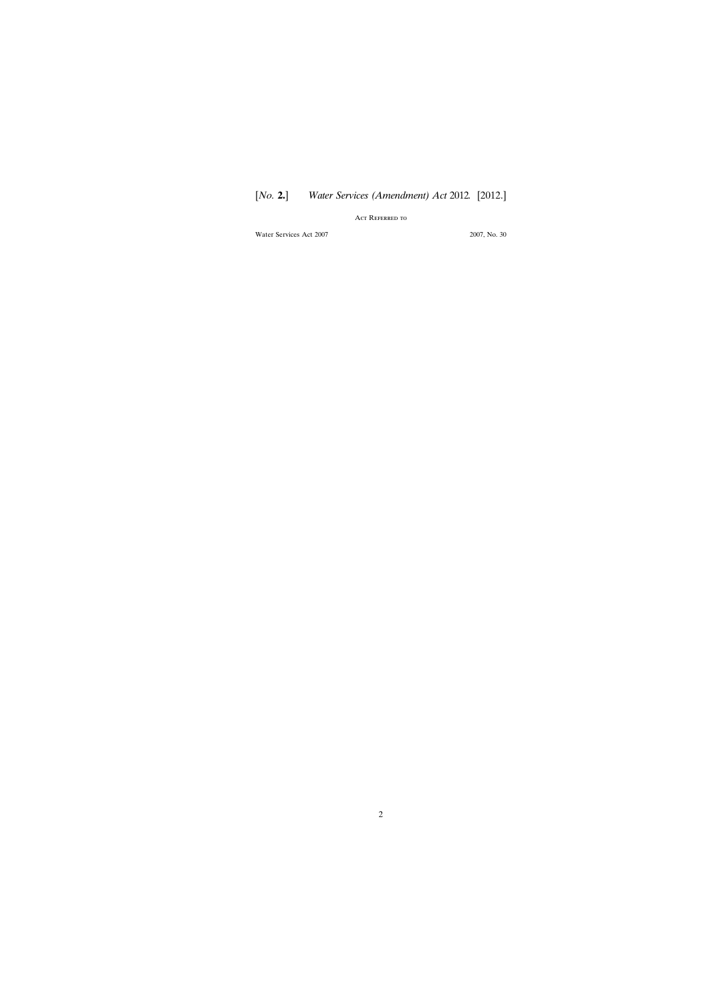Act Referred to

Water Services Act 2007 2007, No. 30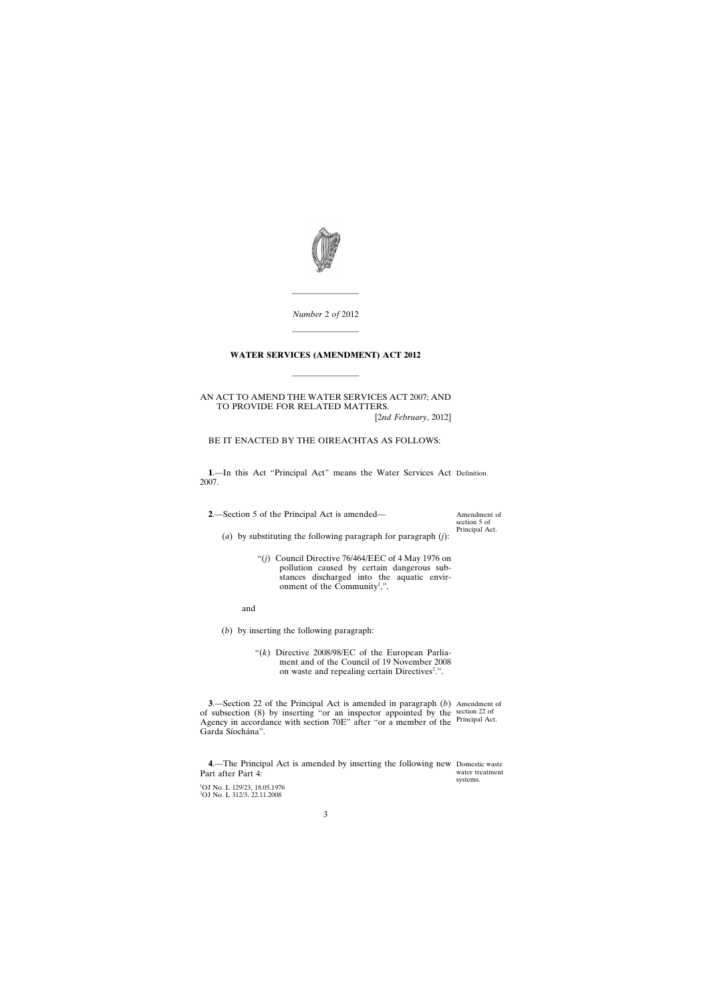<span id="page-2-0"></span>

*Number* 2 *of* 2012

————————

————————

#### **WATER SERVICES (AMENDMENT) ACT 2012**

————————

AN ACT TO AMEND THE WATER SERVICES ACT 2007; AND TO PROVIDE FOR RELATED MATTERS. [2*nd February*, 2012]

BE IT ENACTED BY THE OIREACHTAS AS FOLLOWS:

**1**.—In this Act "Principal Act" means the Water Services Act Definition. 2007.

**2**.—Section 5 of the Principal Act is amended—

Amendment of section 5 of Principal Act.

- (*a*) by substituting the following paragraph for paragraph (*j*):
	- "(*j*) Council Directive 76/464/EEC of 4 May 1976 on pollution caused by certain dangerous substances discharged into the aquatic environment of the Community<sup>1</sup>,",

and

- (*b*) by inserting the following paragraph:
	- "(*k*) Directive 2008/98/EC of the European Parliament and of the Council of 19 November 2008 on waste and repealing certain Directives<sup>2</sup>.".

**3**.—Section 22 of the Principal Act is amended in paragraph (*b*) Amendment of of subsection (8) by inserting "or an inspector appointed by the section 22 of Agency in accordance with section 70E" after "or a member of the Principal Act. Garda Síochána".

**4**.—The Principal Act is amended by inserting the following new Domestic waste Part after Part 4:

water treatment systems.

1 OJ No. L 129/23, 18.05.1976 2 OJ No. L 312/3, 22.11.2008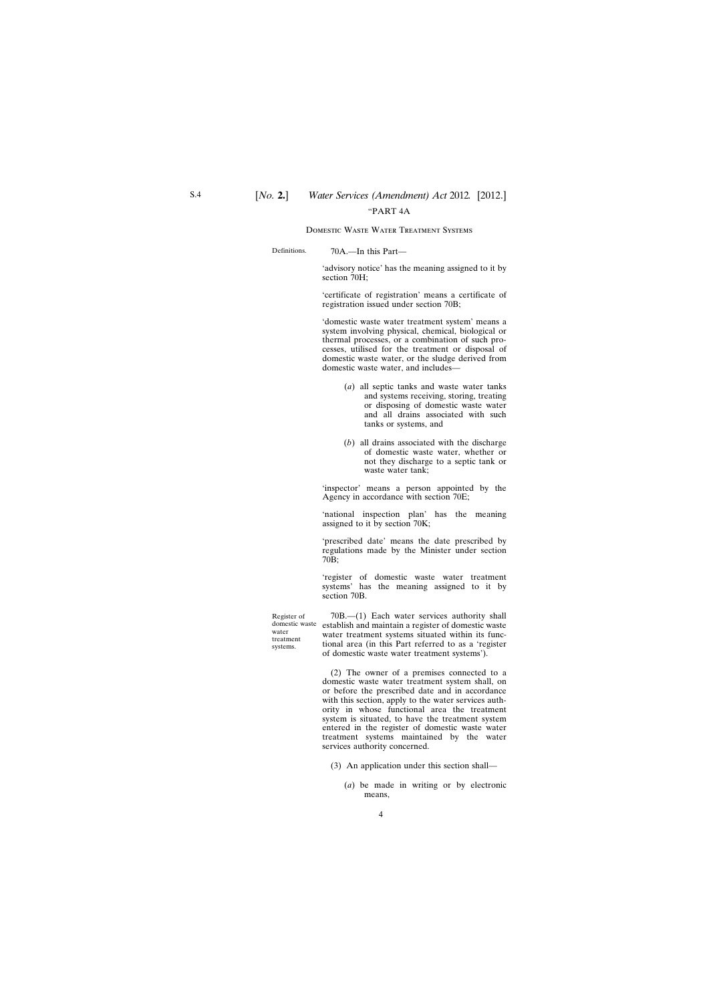Domestic Waste Water Treatment Systems

Definitions. 70A.—In this Part—

'advisory notice' has the meaning assigned to it by section 70H:

'certificate of registration' means a certificate of registration issued under section 70B;

'domestic waste water treatment system' means a system involving physical, chemical, biological or thermal processes, or a combination of such processes, utilised for the treatment or disposal of domestic waste water, or the sludge derived from domestic waste water, and includes—

- (*a*) all septic tanks and waste water tanks and systems receiving, storing, treating or disposing of domestic waste water and all drains associated with such tanks or systems, and
- (*b*) all drains associated with the discharge of domestic waste water, whether or not they discharge to a septic tank or waste water tank;

'inspector' means a person appointed by the Agency in accordance with section 70E;

'national inspection plan' has the meaning assigned to it by section 70K;

'prescribed date' means the date prescribed by regulations made by the Minister under section 70B;

'register of domestic waste water treatment systems' has the meaning assigned to it by section 70B.

Register of domestic waste water treatment systems. 70B.—(1) Each water services authority shall establish and maintain a register of domestic waste water treatment systems situated within its functional area (in this Part referred to as a 'register of domestic waste water treatment systems').

> (2) The owner of a premises connected to a domestic waste water treatment system shall, on or before the prescribed date and in accordance with this section, apply to the water services authority in whose functional area the treatment system is situated, to have the treatment system entered in the register of domestic waste water treatment systems maintained by the water services authority concerned.

- (3) An application under this section shall—
	- (*a*) be made in writing or by electronic means,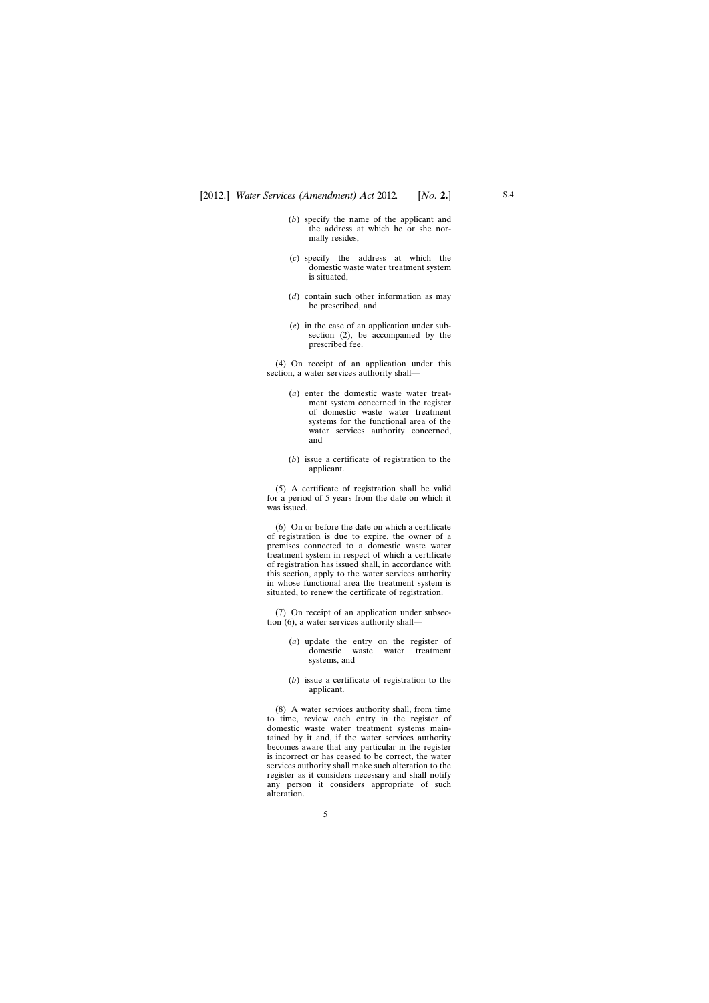- (*b*) specify the name of the applicant and the address at which he or she normally resides,
- (*c*) specify the address at which the domestic waste water treatment system is situated,
- (*d*) contain such other information as may be prescribed, and
- (*e*) in the case of an application under subsection (2), be accompanied by the prescribed fee.

(4) On receipt of an application under this section, a water services authority shall—

- (*a*) enter the domestic waste water treatment system concerned in the register of domestic waste water treatment systems for the functional area of the water services authority concerned, and
- (*b*) issue a certificate of registration to the applicant.

(5) A certificate of registration shall be valid for a period of 5 years from the date on which it was issued.

(6) On or before the date on which a certificate of registration is due to expire, the owner of a premises connected to a domestic waste water treatment system in respect of which a certificate of registration has issued shall, in accordance with this section, apply to the water services authority in whose functional area the treatment system is situated, to renew the certificate of registration.

(7) On receipt of an application under subsection (6), a water services authority shall—

- (*a*) update the entry on the register of domestic waste water treatment systems, and
- (*b*) issue a certificate of registration to the applicant.

(8) A water services authority shall, from time to time, review each entry in the register of domestic waste water treatment systems maintained by it and, if the water services authority becomes aware that any particular in the register is incorrect or has ceased to be correct, the water services authority shall make such alteration to the register as it considers necessary and shall notify any person it considers appropriate of such alteration.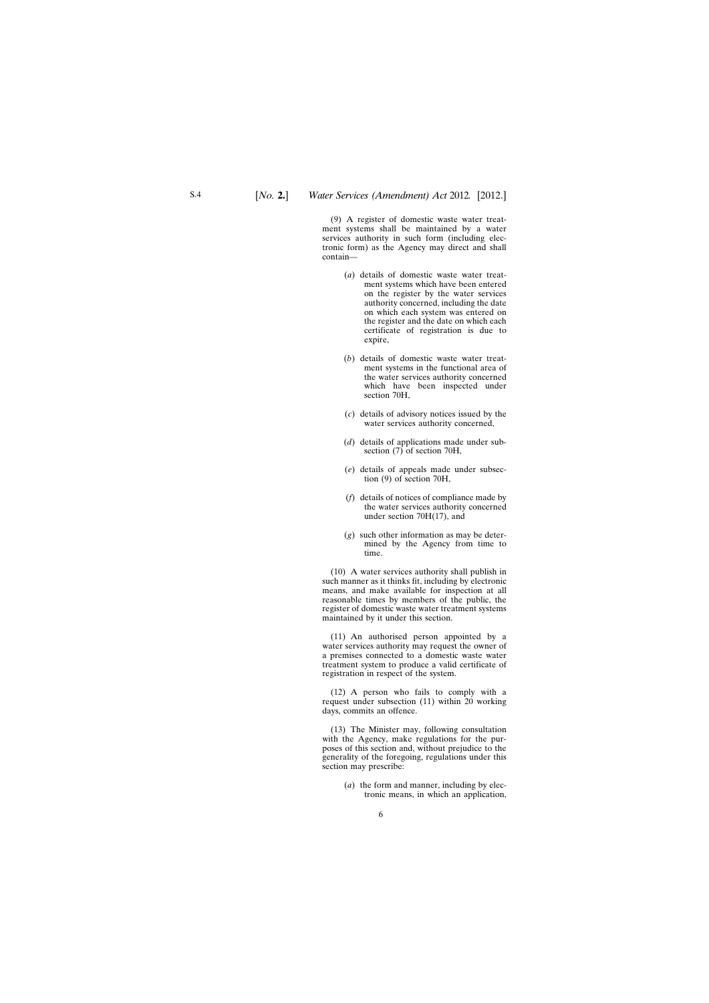(9) A register of domestic waste water treatment systems shall be maintained by a water services authority in such form (including electronic form) as the Agency may direct and shall contain—

- (*a*) details of domestic waste water treatment systems which have been entered on the register by the water services authority concerned, including the date on which each system was entered on the register and the date on which each certificate of registration is due to expire,
- (*b*) details of domestic waste water treatment systems in the functional area of the water services authority concerned which have been inspected under section 70H,
- (*c*) details of advisory notices issued by the water services authority concerned,
- (*d*) details of applications made under subsection (7) of section 70H,
- (*e*) details of appeals made under subsection (9) of section 70H,
- (*f*) details of notices of compliance made by the water services authority concerned under section 70H(17), and
- (*g*) such other information as may be determined by the Agency from time to time.

(10) A water services authority shall publish in such manner as it thinks fit, including by electronic means, and make available for inspection at all reasonable times by members of the public, the register of domestic waste water treatment systems maintained by it under this section.

(11) An authorised person appointed by a water services authority may request the owner of a premises connected to a domestic waste water treatment system to produce a valid certificate of registration in respect of the system.

(12) A person who fails to comply with a request under subsection (11) within 20 working days, commits an offence.

(13) The Minister may, following consultation with the Agency, make regulations for the purposes of this section and, without prejudice to the generality of the foregoing, regulations under this section may prescribe:

> (*a*) the form and manner, including by electronic means, in which an application,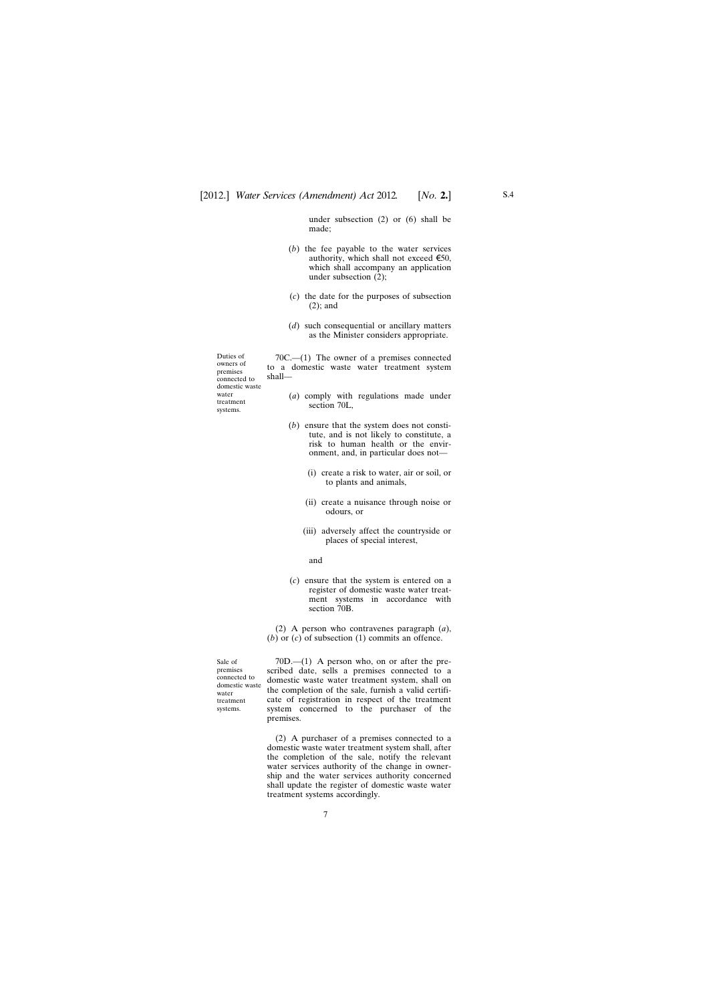under subsection (2) or (6) shall be made;

- (*b*) the fee payable to the water services authority, which shall not exceed  $\epsilon$ 50, which shall accompany an application under subsection (2);
- (*c*) the date for the purposes of subsection (2); and
- (*d*) such consequential or ancillary matters as the Minister considers appropriate.

70C.—(1) The owner of a premises connected to a domestic waste water treatment system shall—

- (*a*) comply with regulations made under section 70L,
- (*b*) ensure that the system does not constitute, and is not likely to constitute, a risk to human health or the environment, and, in particular does not—
	- (i) create a risk to water, air or soil, or to plants and animals,
	- (ii) create a nuisance through noise or odours, or
	- (iii) adversely affect the countryside or places of special interest,
		- and
- (*c*) ensure that the system is entered on a register of domestic waste water treatment systems in accordance with section 70B.

(2) A person who contravenes paragraph (*a*), (*b*) or (*c*) of subsection (1) commits an offence.

Sale of premises connected to domestic waste water treatment systems.

70D.—(1) A person who, on or after the prescribed date, sells a premises connected to a domestic waste water treatment system, shall on the completion of the sale, furnish a valid certificate of registration in respect of the treatment system concerned to the purchaser of the premises.

(2) A purchaser of a premises connected to a domestic waste water treatment system shall, after the completion of the sale, notify the relevant water services authority of the change in ownership and the water services authority concerned shall update the register of domestic waste water treatment systems accordingly.

Duties of owners of premises connected to domestic waste water treatment systems.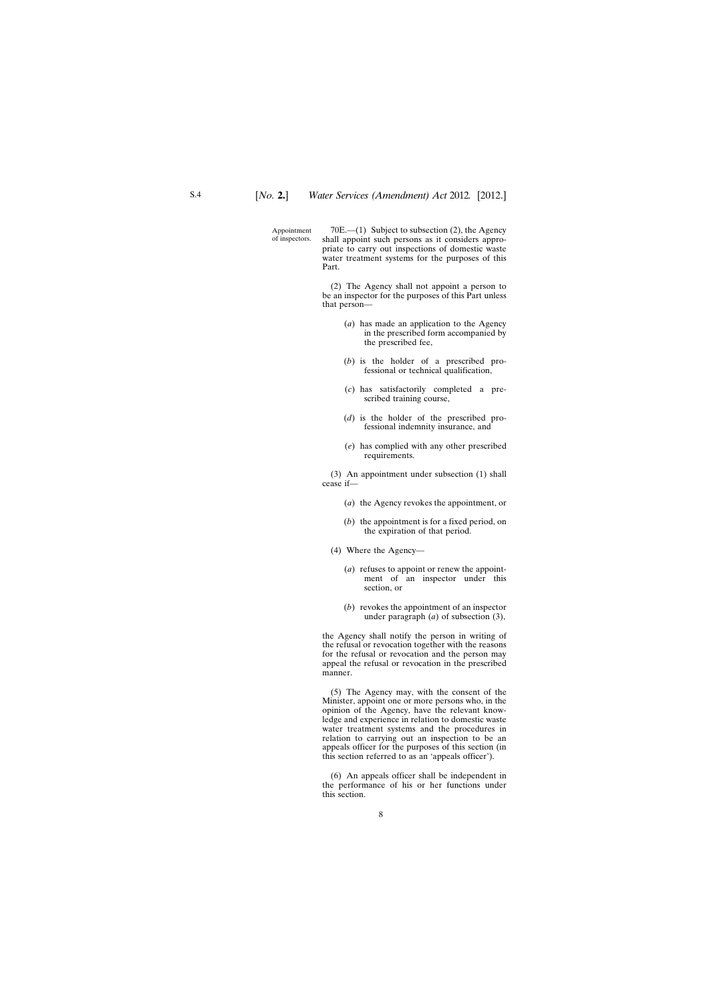Appointment of inspectors. 70E.—(1) Subject to subsection (2), the Agency shall appoint such persons as it considers appropriate to carry out inspections of domestic waste water treatment systems for the purposes of this Part.

> (2) The Agency shall not appoint a person to be an inspector for the purposes of this Part unless that person—

- (*a*) has made an application to the Agency in the prescribed form accompanied by the prescribed fee,
- (*b*) is the holder of a prescribed professional or technical qualification,
- (*c*) has satisfactorily completed a prescribed training course,
- (*d*) is the holder of the prescribed professional indemnity insurance, and
- (*e*) has complied with any other prescribed requirements.

(3) An appointment under subsection (1) shall cease if—

- (*a*) the Agency revokes the appointment, or
- (*b*) the appointment is for a fixed period, on the expiration of that period.
- (4) Where the Agency—
	- (*a*) refuses to appoint or renew the appointment of an inspector under this section, or
	- (*b*) revokes the appointment of an inspector under paragraph (*a*) of subsection (3),

the Agency shall notify the person in writing of the refusal or revocation together with the reasons for the refusal or revocation and the person may appeal the refusal or revocation in the prescribed manner.

(5) The Agency may, with the consent of the Minister, appoint one or more persons who, in the opinion of the Agency, have the relevant knowledge and experience in relation to domestic waste water treatment systems and the procedures in relation to carrying out an inspection to be an appeals officer for the purposes of this section (in this section referred to as an 'appeals officer').

(6) An appeals officer shall be independent in the performance of his or her functions under this section.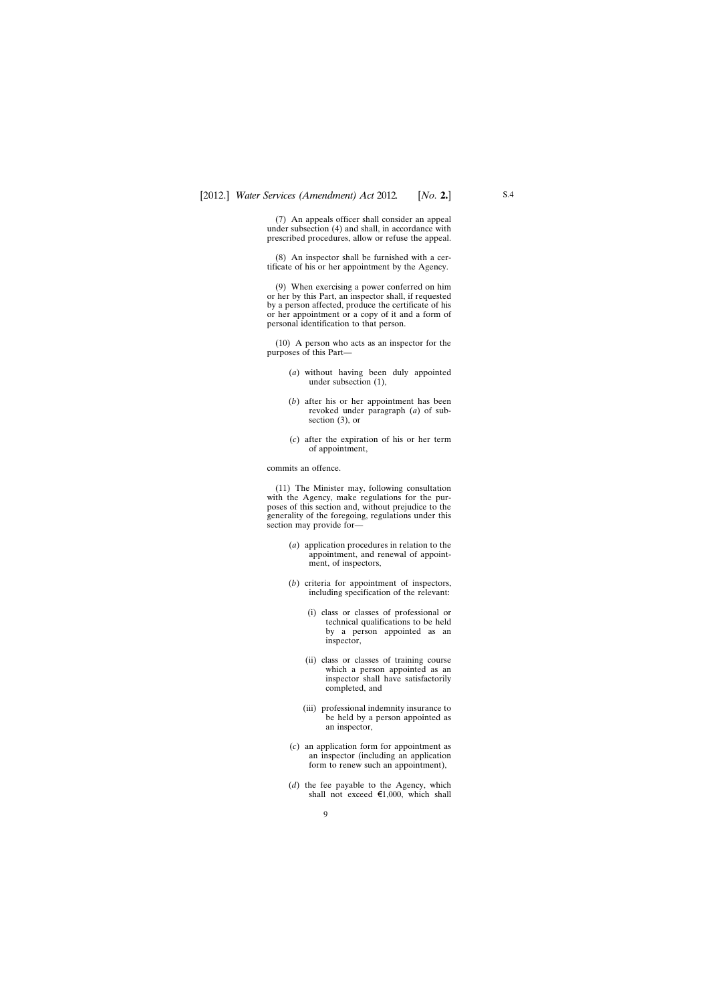(7) An appeals officer shall consider an appeal under subsection (4) and shall, in accordance with prescribed procedures, allow or refuse the appeal.

(8) An inspector shall be furnished with a certificate of his or her appointment by the Agency.

(9) When exercising a power conferred on him or her by this Part, an inspector shall, if requested by a person affected, produce the certificate of his or her appointment or a copy of it and a form of personal identification to that person.

(10) A person who acts as an inspector for the purposes of this Part—

- (*a*) without having been duly appointed under subsection (1),
- (*b*) after his or her appointment has been revoked under paragraph (*a*) of subsection (3), or
- (*c*) after the expiration of his or her term of appointment,

commits an offence.

(11) The Minister may, following consultation with the Agency, make regulations for the purposes of this section and, without prejudice to the generality of the foregoing, regulations under this section may provide for—

- (*a*) application procedures in relation to the appointment, and renewal of appointment, of inspectors,
- (*b*) criteria for appointment of inspectors, including specification of the relevant:
	- (i) class or classes of professional or technical qualifications to be held by a person appointed as an inspector,
	- (ii) class or classes of training course which a person appointed as an inspector shall have satisfactorily completed, and
	- (iii) professional indemnity insurance to be held by a person appointed as an inspector,
- (*c*) an application form for appointment as an inspector (including an application form to renew such an appointment),
- (*d*) the fee payable to the Agency, which shall not exceed  $\epsilon$ 1,000, which shall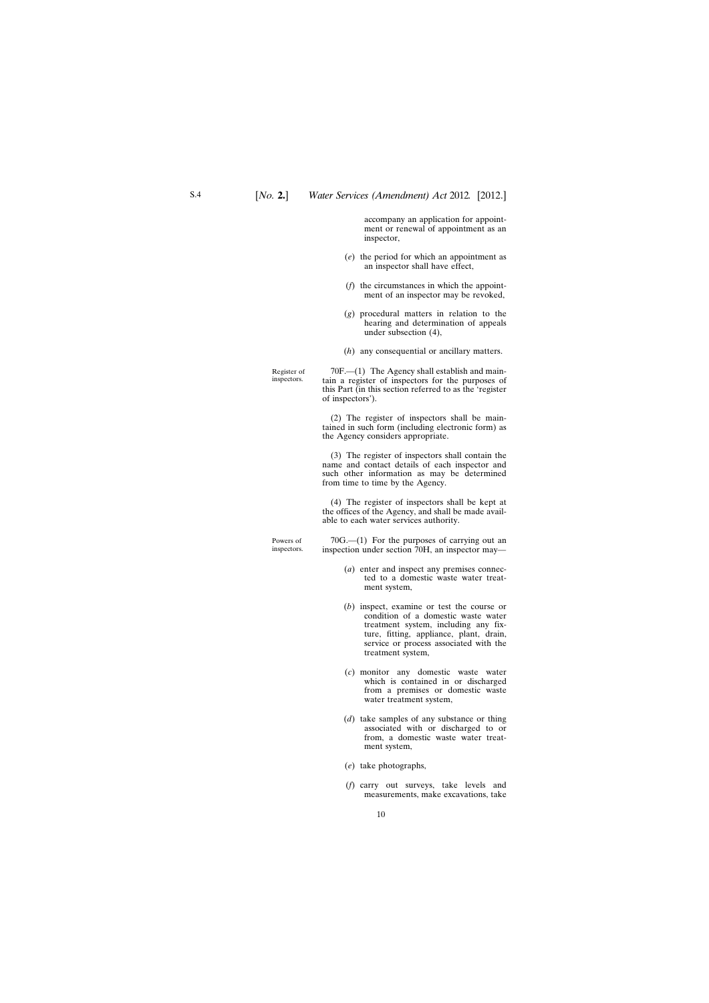accompany an application for appointment or renewal of appointment as an inspector,

- (*e*) the period for which an appointment as an inspector shall have effect,
- (*f*) the circumstances in which the appointment of an inspector may be revoked,
- (*g*) procedural matters in relation to the hearing and determination of appeals under subsection (4),
- (*h*) any consequential or ancillary matters.

Register of inspectors. 70F.—(1) The Agency shall establish and maintain a register of inspectors for the purposes of this Part (in this section referred to as the 'register of inspectors').

> (2) The register of inspectors shall be maintained in such form (including electronic form) as the Agency considers appropriate.

> (3) The register of inspectors shall contain the name and contact details of each inspector and such other information as may be determined from time to time by the Agency.

> (4) The register of inspectors shall be kept at the offices of the Agency, and shall be made available to each water services authority.

Powers of inspectors.

70G.—(1) For the purposes of carrying out an inspection under section 70H, an inspector may—

- (*a*) enter and inspect any premises connected to a domestic waste water treatment system,
- (*b*) inspect, examine or test the course or condition of a domestic waste water treatment system, including any fixture, fitting, appliance, plant, drain, service or process associated with the treatment system,
- (*c*) monitor any domestic waste water which is contained in or discharged from a premises or domestic waste water treatment system,
- (*d*) take samples of any substance or thing associated with or discharged to or from, a domestic waste water treatment system,
- (*e*) take photographs,
- (*f*) carry out surveys, take levels and measurements, make excavations, take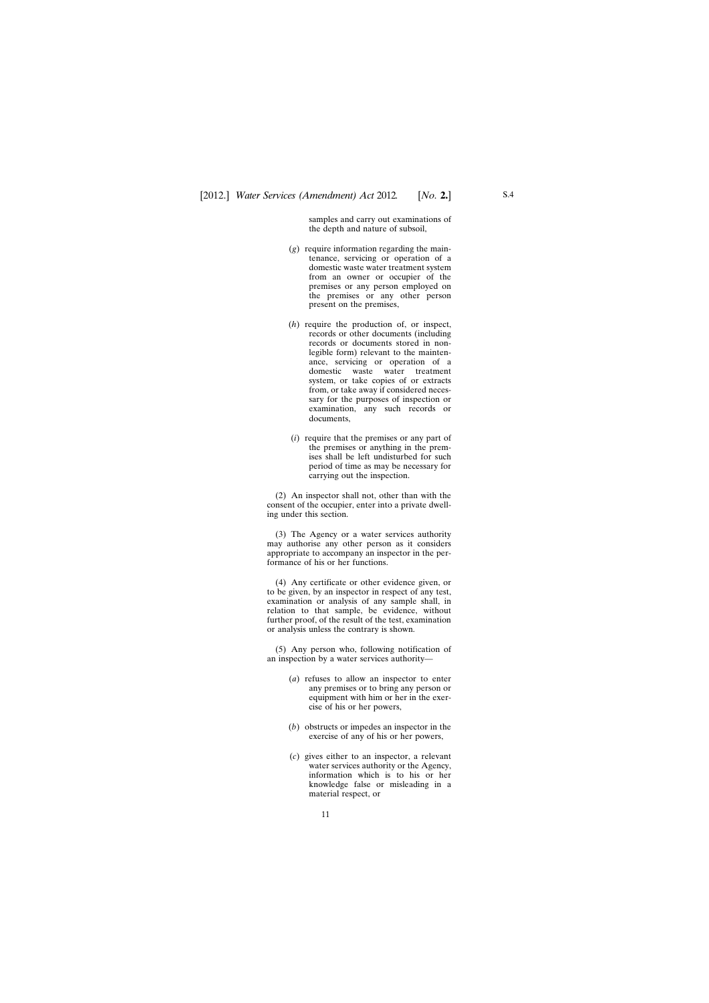samples and carry out examinations of the depth and nature of subsoil,

- (*g*) require information regarding the maintenance, servicing or operation of a domestic waste water treatment system from an owner or occupier of the premises or any person employed on the premises or any other person present on the premises,
- (*h*) require the production of, or inspect, records or other documents (including records or documents stored in nonlegible form) relevant to the maintenance, servicing or operation of a domestic waste water treatment system, or take copies of or extracts from, or take away if considered necessary for the purposes of inspection or examination, any such records or documents,
- (*i*) require that the premises or any part of the premises or anything in the premises shall be left undisturbed for such period of time as may be necessary for carrying out the inspection.

(2) An inspector shall not, other than with the consent of the occupier, enter into a private dwelling under this section.

(3) The Agency or a water services authority may authorise any other person as it considers appropriate to accompany an inspector in the performance of his or her functions.

(4) Any certificate or other evidence given, or to be given, by an inspector in respect of any test, examination or analysis of any sample shall, in relation to that sample, be evidence, without further proof, of the result of the test, examination or analysis unless the contrary is shown.

(5) Any person who, following notification of an inspection by a water services authority—

- (*a*) refuses to allow an inspector to enter any premises or to bring any person or equipment with him or her in the exercise of his or her powers,
- (*b*) obstructs or impedes an inspector in the exercise of any of his or her powers,
- (*c*) gives either to an inspector, a relevant water services authority or the Agency, information which is to his or her knowledge false or misleading in a material respect, or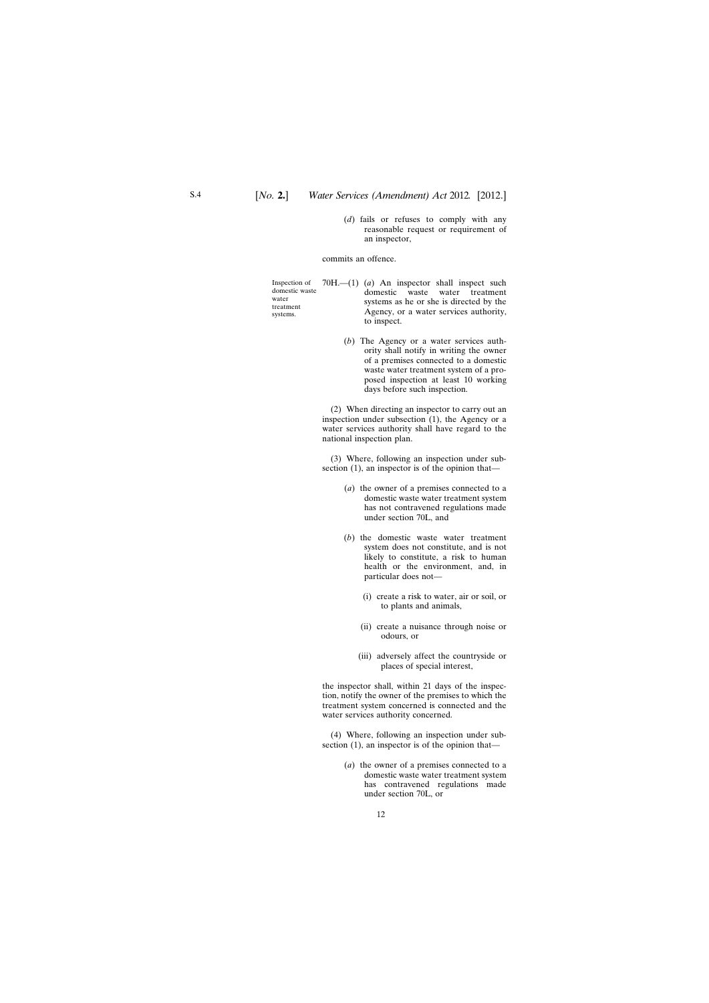(*d*) fails or refuses to comply with any reasonable request or requirement of an inspector,

#### commits an offence.

| Inspection of $70H$ — $(1)$ (a) An inspector shall inspect such |                                         |             |  |  |  |  |                                |  |
|-----------------------------------------------------------------|-----------------------------------------|-------------|--|--|--|--|--------------------------------|--|
| domestic waste                                                  |                                         |             |  |  |  |  | domestic waste water treatment |  |
| water                                                           | systems as he or she is directed by the |             |  |  |  |  |                                |  |
| treatment                                                       |                                         |             |  |  |  |  |                                |  |
| systems.                                                        | Agency, or a water services authority,  |             |  |  |  |  |                                |  |
|                                                                 |                                         | to inspect. |  |  |  |  |                                |  |

(*b*) The Agency or a water services authority shall notify in writing the owner of a premises connected to a domestic waste water treatment system of a proposed inspection at least 10 working days before such inspection.

(2) When directing an inspector to carry out an inspection under subsection (1), the Agency or a water services authority shall have regard to the national inspection plan.

(3) Where, following an inspection under subsection (1), an inspector is of the opinion that—

- (*a*) the owner of a premises connected to a domestic waste water treatment system has not contravened regulations made under section 70L, and
- (*b*) the domestic waste water treatment system does not constitute, and is not likely to constitute, a risk to human health or the environment, and, in particular does not—
	- (i) create a risk to water, air or soil, or to plants and animals,
	- (ii) create a nuisance through noise or odours, or
	- (iii) adversely affect the countryside or places of special interest,

the inspector shall, within 21 days of the inspection, notify the owner of the premises to which the treatment system concerned is connected and the water services authority concerned.

(4) Where, following an inspection under subsection (1), an inspector is of the opinion that—

> (*a*) the owner of a premises connected to a domestic waste water treatment system has contravened regulations made under section 70L, or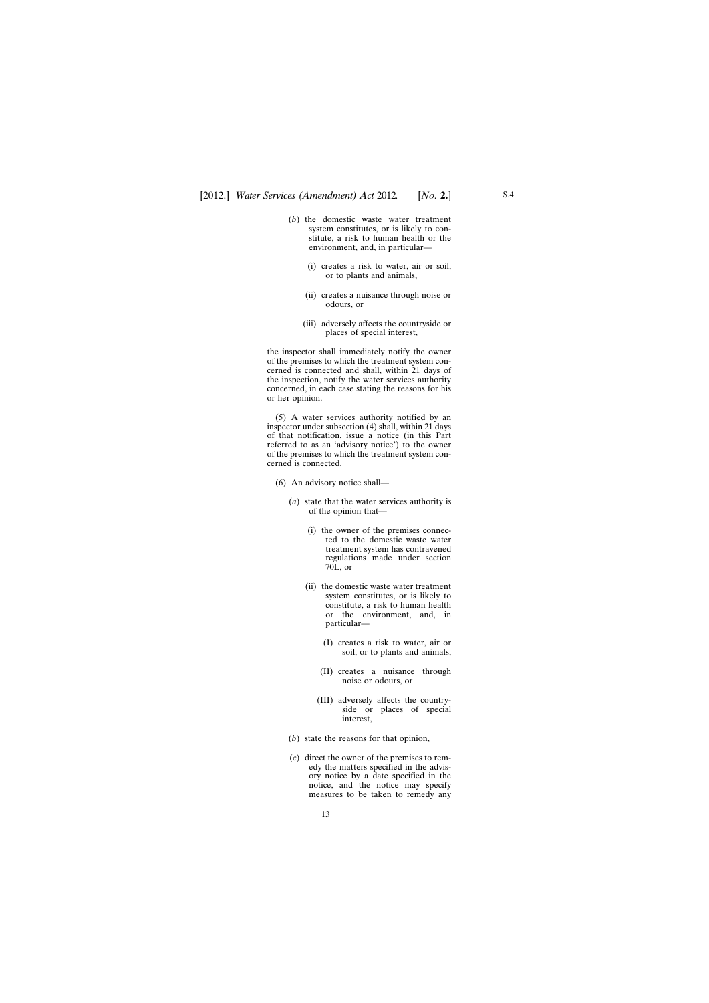- (*b*) the domestic waste water treatment system constitutes, or is likely to constitute, a risk to human health or the environment, and, in particular—
	- (i) creates a risk to water, air or soil, or to plants and animals,
	- (ii) creates a nuisance through noise or odours, or
	- (iii) adversely affects the countryside or places of special interest,

the inspector shall immediately notify the owner of the premises to which the treatment system concerned is connected and shall, within 21 days of the inspection, notify the water services authority concerned, in each case stating the reasons for his or her opinion.

(5) A water services authority notified by an inspector under subsection (4) shall, within 21 days of that notification, issue a notice (in this Part referred to as an 'advisory notice') to the owner of the premises to which the treatment system concerned is connected.

- (6) An advisory notice shall—
	- (*a*) state that the water services authority is of the opinion that—
		- (i) the owner of the premises connected to the domestic waste water treatment system has contravened regulations made under section 70L, or
		- (ii) the domestic waste water treatment system constitutes, or is likely to constitute, a risk to human health or the environment, and, in particular—
			- (I) creates a risk to water, air or soil, or to plants and animals,
			- (II) creates a nuisance through noise or odours, or
			- (III) adversely affects the countryside or places of special interest,
	- (*b*) state the reasons for that opinion,
	- (*c*) direct the owner of the premises to remedy the matters specified in the advisory notice by a date specified in the notice, and the notice may specify measures to be taken to remedy any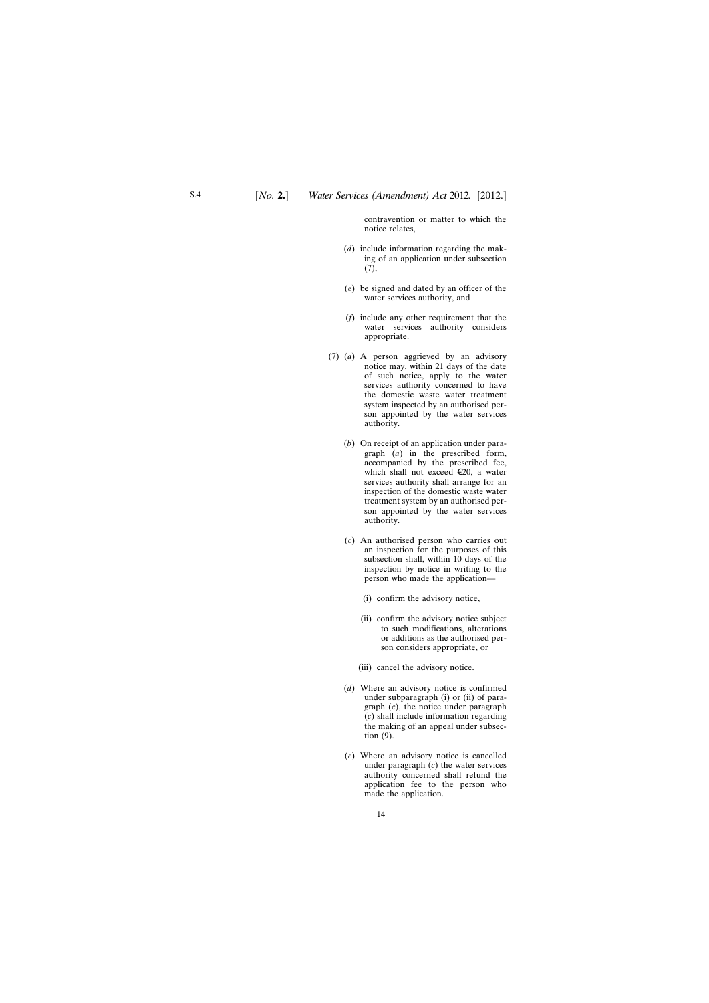contravention or matter to which the notice relates,

- (*d*) include information regarding the making of an application under subsection (7),
- (*e*) be signed and dated by an officer of the water services authority, and
- (*f*) include any other requirement that the water services authority considers appropriate.
- (7) (*a*) A person aggrieved by an advisory notice may, within 21 days of the date of such notice, apply to the water services authority concerned to have the domestic waste water treatment system inspected by an authorised person appointed by the water services authority.
	- (*b*) On receipt of an application under paragraph (*a*) in the prescribed form, accompanied by the prescribed fee, which shall not exceed  $\epsilon$ 20, a water services authority shall arrange for an inspection of the domestic waste water treatment system by an authorised person appointed by the water services authority.
	- (*c*) An authorised person who carries out an inspection for the purposes of this subsection shall, within 10 days of the inspection by notice in writing to the person who made the application—
		- (i) confirm the advisory notice,
		- (ii) confirm the advisory notice subject to such modifications, alterations or additions as the authorised person considers appropriate, or
		- (iii) cancel the advisory notice.
	- (*d*) Where an advisory notice is confirmed under subparagraph (i) or (ii) of paragraph (*c*), the notice under paragraph (*c*) shall include information regarding the making of an appeal under subsection (9).
	- (*e*) Where an advisory notice is cancelled under paragraph (*c*) the water services authority concerned shall refund the application fee to the person who made the application.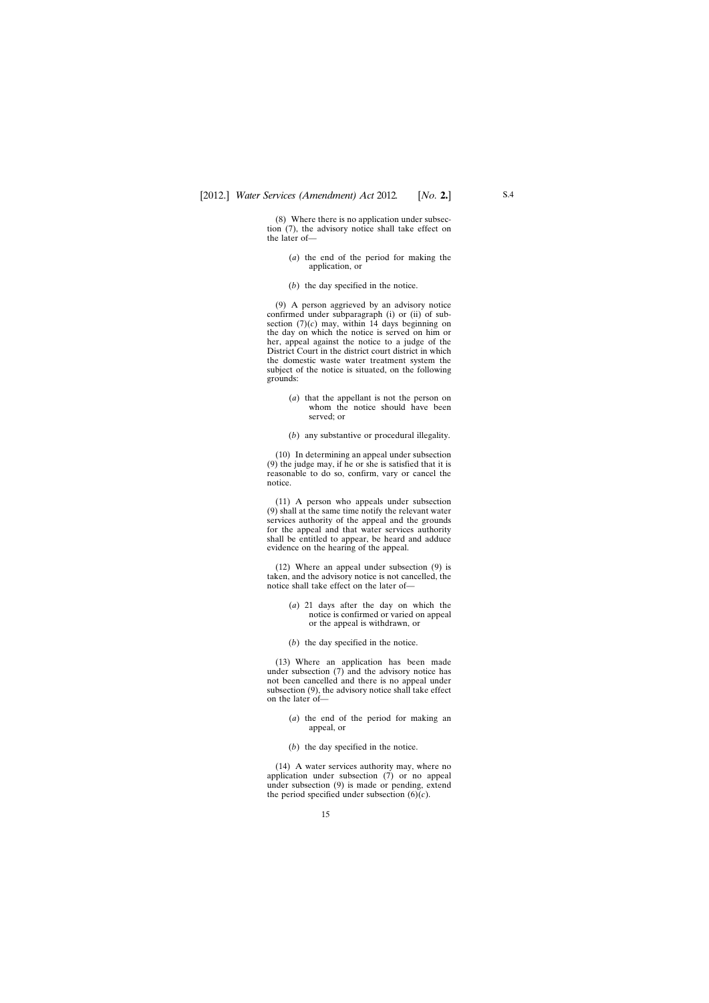(8) Where there is no application under subsection (7), the advisory notice shall take effect on the later of—

- (*a*) the end of the period for making the application, or
- (*b*) the day specified in the notice.

(9) A person aggrieved by an advisory notice confirmed under subparagraph (i) or (ii) of subsection  $(7)(c)$  may, within 14 days beginning on the day on which the notice is served on him or her, appeal against the notice to a judge of the District Court in the district court district in which the domestic waste water treatment system the subject of the notice is situated, on the following grounds:

- (*a*) that the appellant is not the person on whom the notice should have been served; or
- (*b*) any substantive or procedural illegality.

(10) In determining an appeal under subsection (9) the judge may, if he or she is satisfied that it is reasonable to do so, confirm, vary or cancel the notice.

(11) A person who appeals under subsection (9) shall at the same time notify the relevant water services authority of the appeal and the grounds for the appeal and that water services authority shall be entitled to appear, be heard and adduce evidence on the hearing of the appeal.

(12) Where an appeal under subsection (9) is taken, and the advisory notice is not cancelled, the notice shall take effect on the later of—

- (*a*) 21 days after the day on which the notice is confirmed or varied on appeal or the appeal is withdrawn, or
- (*b*) the day specified in the notice.

(13) Where an application has been made under subsection (7) and the advisory notice has not been cancelled and there is no appeal under subsection (9), the advisory notice shall take effect on the later of—

- (*a*) the end of the period for making an appeal, or
- (*b*) the day specified in the notice.

(14) A water services authority may, where no application under subsection (7) or no appeal under subsection (9) is made or pending, extend the period specified under subsection  $(6)(c)$ .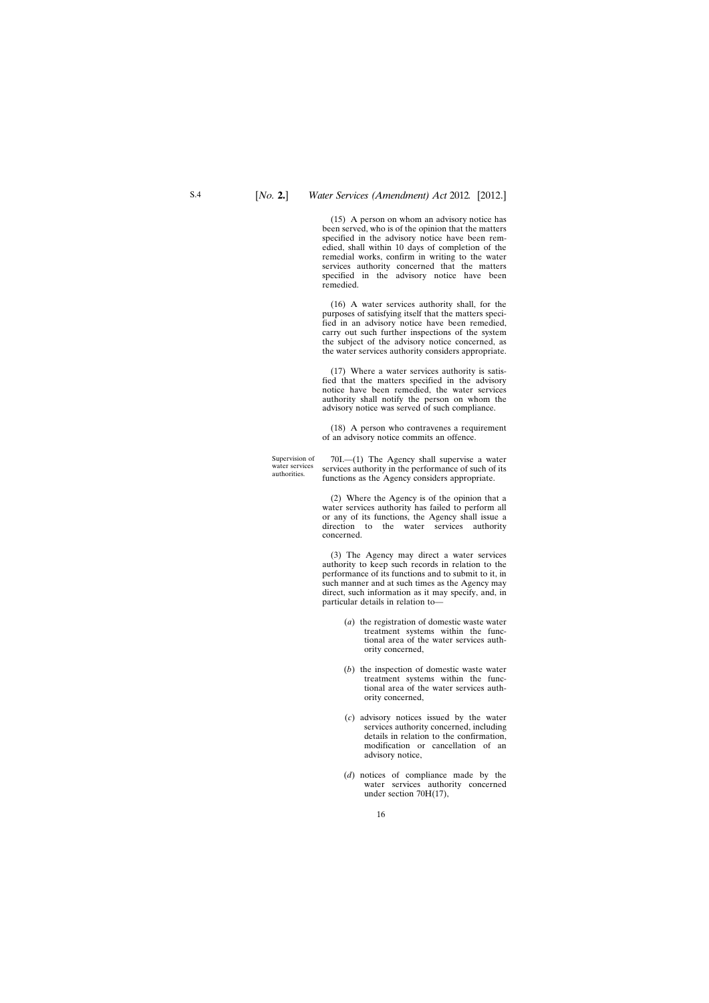(15) A person on whom an advisory notice has been served, who is of the opinion that the matters specified in the advisory notice have been remedied, shall within 10 days of completion of the remedial works, confirm in writing to the water services authority concerned that the matters specified in the advisory notice have been remedied.

(16) A water services authority shall, for the purposes of satisfying itself that the matters specified in an advisory notice have been remedied, carry out such further inspections of the system the subject of the advisory notice concerned, as the water services authority considers appropriate.

(17) Where a water services authority is satisfied that the matters specified in the advisory notice have been remedied, the water services authority shall notify the person on whom the advisory notice was served of such compliance.

(18) A person who contravenes a requirement of an advisory notice commits an offence.

Supervision of water services authorities. 70I.—(1) The Agency shall supervise a water services authority in the performance of such of its functions as the Agency considers appropriate.

> (2) Where the Agency is of the opinion that a water services authority has failed to perform all or any of its functions, the Agency shall issue a direction to the water services authority concerned.

> (3) The Agency may direct a water services authority to keep such records in relation to the performance of its functions and to submit to it, in such manner and at such times as the Agency may direct, such information as it may specify, and, in particular details in relation to—

- (*a*) the registration of domestic waste water treatment systems within the functional area of the water services authority concerned,
- (*b*) the inspection of domestic waste water treatment systems within the functional area of the water services authority concerned,
- (*c*) advisory notices issued by the water services authority concerned, including details in relation to the confirmation, modification or cancellation of an advisory notice,
- (*d*) notices of compliance made by the water services authority concerned under section 70H(17),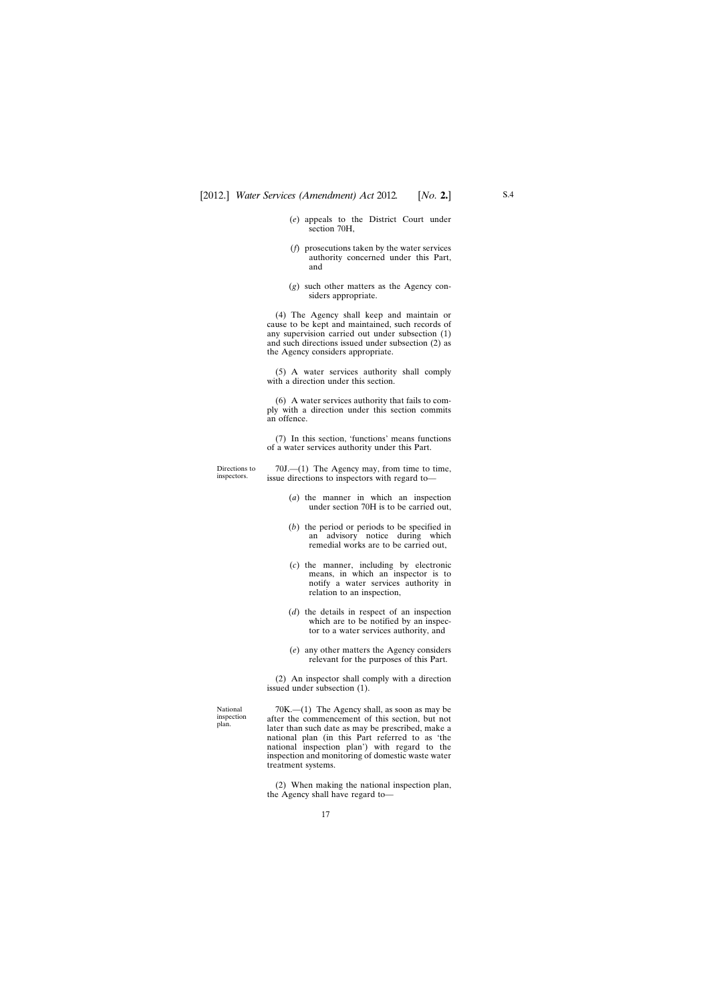- (*e*) appeals to the District Court under section 70H,
- (*f*) prosecutions taken by the water services authority concerned under this Part, and
- (*g*) such other matters as the Agency considers appropriate.

(4) The Agency shall keep and maintain or cause to be kept and maintained, such records of any supervision carried out under subsection (1) and such directions issued under subsection (2) as the Agency considers appropriate.

(5) A water services authority shall comply with a direction under this section.

(6) A water services authority that fails to comply with a direction under this section commits an offence.

(7) In this section, 'functions' means functions of a water services authority under this Part.

Directions to inspectors.

70J.—(1) The Agency may, from time to time, issue directions to inspectors with regard to—

- (*a*) the manner in which an inspection under section 70H is to be carried out,
- (*b*) the period or periods to be specified in an advisory notice during which remedial works are to be carried out,
- (*c*) the manner, including by electronic means, in which an inspector is to notify a water services authority in relation to an inspection,
- (*d*) the details in respect of an inspection which are to be notified by an inspector to a water services authority, and
- (*e*) any other matters the Agency considers relevant for the purposes of this Part.

(2) An inspector shall comply with a direction issued under subsection (1).

National inspection plan.

70K.—(1) The Agency shall, as soon as may be after the commencement of this section, but not later than such date as may be prescribed, make a national plan (in this Part referred to as 'the national inspection plan') with regard to the inspection and monitoring of domestic waste water treatment systems.

(2) When making the national inspection plan, the Agency shall have regard to—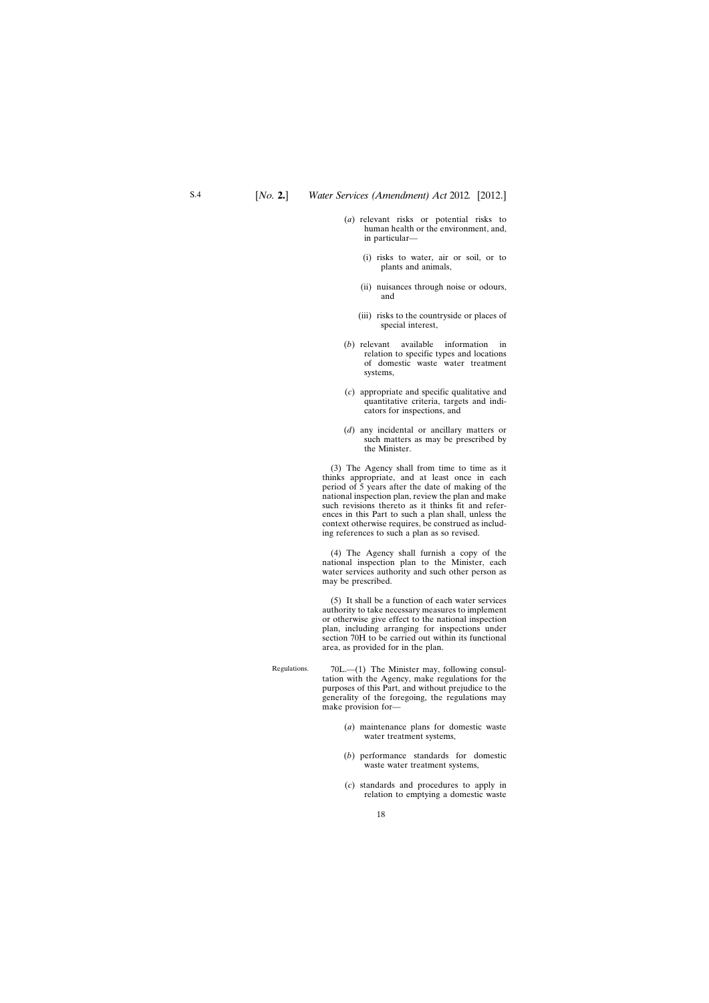- (*a*) relevant risks or potential risks to human health or the environment, and, in particular—
	- (i) risks to water, air or soil, or to plants and animals,
	- (ii) nuisances through noise or odours, and
	- (iii) risks to the countryside or places of special interest,
- (*b*) relevant available information in relation to specific types and locations of domestic waste water treatment systems,
- (*c*) appropriate and specific qualitative and quantitative criteria, targets and indicators for inspections, and
- (*d*) any incidental or ancillary matters or such matters as may be prescribed by the Minister.

(3) The Agency shall from time to time as it thinks appropriate, and at least once in each period of 5 years after the date of making of the national inspection plan, review the plan and make such revisions thereto as it thinks fit and references in this Part to such a plan shall, unless the context otherwise requires, be construed as including references to such a plan as so revised.

(4) The Agency shall furnish a copy of the national inspection plan to the Minister, each water services authority and such other person as may be prescribed.

(5) It shall be a function of each water services authority to take necessary measures to implement or otherwise give effect to the national inspection plan, including arranging for inspections under section 70H to be carried out within its functional area, as provided for in the plan.

- Regulations. 70L.—(1) The Minister may, following consultation with the Agency, make regulations for the purposes of this Part, and without prejudice to the generality of the foregoing, the regulations may make provision for—
	- (*a*) maintenance plans for domestic waste water treatment systems,
	- (*b*) performance standards for domestic waste water treatment systems,
	- (*c*) standards and procedures to apply in relation to emptying a domestic waste